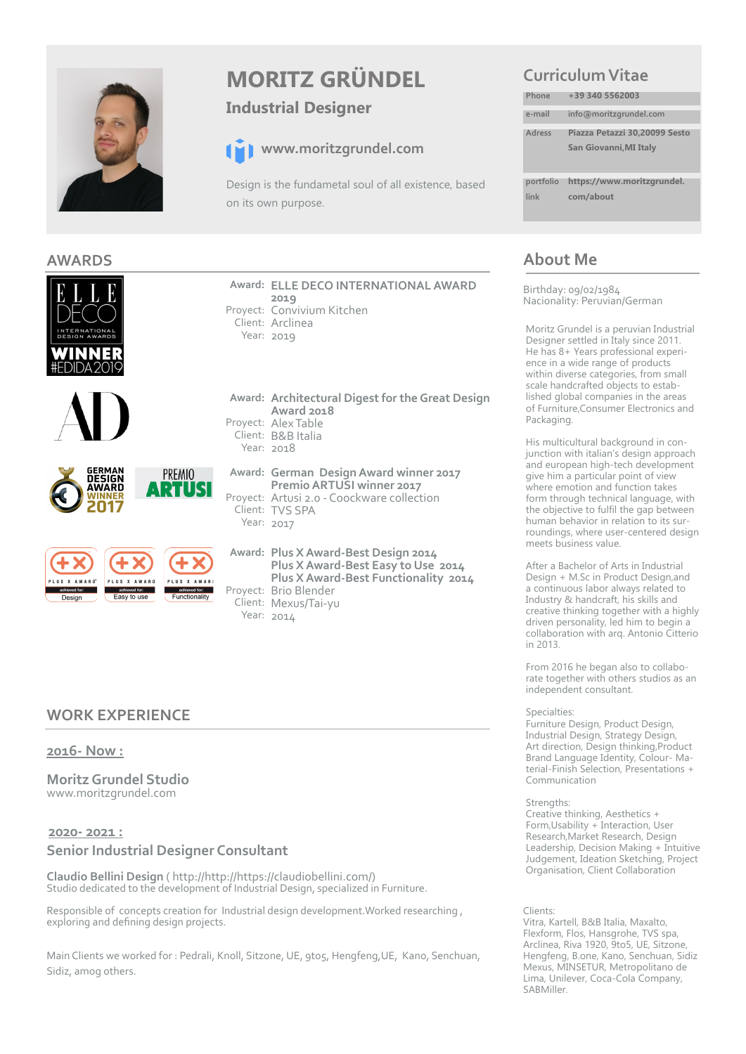

# **MORITZ GRÜNDEL**

# **Industrial Designer**



Design is the fundametal soul of all existence, based on its own purpose.

| <b>AWARDS</b>                                          |                         |                                                                                                                                     |
|--------------------------------------------------------|-------------------------|-------------------------------------------------------------------------------------------------------------------------------------|
| <b>EXTREME N</b><br><b>DESIGN AWARDS</b><br>#EDIDA2019 |                         | Award: ELLE DECO INTERNATIONAL AWARD<br>2019<br>Proyect: Convivium Kitchen<br>Client: Arclinea<br>Year: 2019                        |
|                                                        |                         | Award: Architectural Digest for the Great Desi<br>Award 2018<br>Proyect: AlexTable<br>Client: B&B Italia<br>Year: 2018              |
| GERMAN<br><b>DESIGN</b><br>AWARD                       | PREMIO<br><b>ARTUSI</b> | Award: German Design Award winner 2017<br>Premio ARTUSI winner 2017<br>Proyect: Artusi 2.0 - Coockware collection<br>Client TVS SPA |



|  | 2019<br>Proyect: Convivium Kitchen<br>Client: Arclinea<br>Year: 2019                                        |
|--|-------------------------------------------------------------------------------------------------------------|
|  | Award: Architectural Digest for the Great Design<br>Award 2018<br>Proyect: Alex Table<br>Client: B&B Italia |
|  | Year: 2018                                                                                                  |
|  | Award: German Design Award winner 2017<br>Premio ARTUSI winner 2017                                         |
|  | Proyect: Artusi 2.0 - Coockware collection<br>Client: TVS SPA<br>Year: 2017                                 |
|  |                                                                                                             |

**Plus X Award-Best Design 2014 Award: Plus X Award-Best Easy to Use 2014 Plus X Award-Best Functionality 2014** Proyect: Brio Blender Client: Mexus/Tai-yu Year: 2014

# **WORK EXPERIENCE**

#### **2016- Now :**

**Moritz Grundel Studio** www.moritzgrundel.com

# **Senior Industrial Designer Consultant 2020- 2021 :**

**Claudio Bellini Design** ( http://http://https://claudiobellini.com/) Studio dedicated to the development of Industrial Design, specialized in Furniture.

Responsible of concepts creation for Industrial design development.Worked researching , exploring and defining design projects.

Main Clients we worked for : Pedrali, Knoll, Sitzone, UE, 9to5, Hengfeng,UE, Kano, Senchuan, Sidiz, amog others.

# **Curriculum Vitae**

| Phone             | +39 340 5562003                                                |
|-------------------|----------------------------------------------------------------|
| e-mail            | info@moritzgrundel.com                                         |
| Adress            | Piazza Petazzi 30,20099 Sesto<br><b>San Giovanni, MI Italy</b> |
| portfolio<br>link | https://www.moritzgrundel.<br>com/about                        |

# **About Me**

Birthday: 09/02/1984 Nacionality: Peruvian/German

Moritz Grundel is a peruvian Industrial Designer settled in Italy since 2011. He has 8+ Years professional experience in a wide range of products within diverse categories, from small scale handcrafted objects to established global companies in the areas of Furniture,Consumer Electronics and Packaging.

His multicultural background in conjunction with italian's design approach and european high-tech development give him a particular point of view where emotion and function takes form through technical language, with the objective to fulfil the gap between human behavior in relation to its surroundings, where user-centered design meets business value.

After a Bachelor of Arts in Industrial Design + M.Sc in Product Design,and a continuous labor always related to Industry & handcraft, his skills and creative thinking together with a highly driven personality, led him to begin a collaboration with arq. Antonio Citterio in 2013.

From 2016 he began also to collaborate together with others studios as an independent consultant.

#### Specialties:

Furniture Design, Product Design, Industrial Design, Strategy Design, Art direction, Design thinking,Product Brand Language Identity, Colour- Material-Finish Selection, Presentations + Communication

#### Strengths:

Creative thinking, Aesthetics + Form,Usability + Interaction, User Research,Market Research, Design Leadership, Decision Making + Intuitive Judgement, Ideation Sketching, Project Organisation, Client Collaboration

#### Clients:

Vitra, Kartell, B&B Italia, Maxalto, Flexform, Flos, Hansgrohe, TVS spa, Arclinea, Riva 1920, 9to5, UE, Sitzone, Hengfeng, B.one, Kano, Senchuan, Sidiz Mexus, MINSETUR, Metropolitano de Lima, Unilever, Coca-Cola Company, **SABMiller**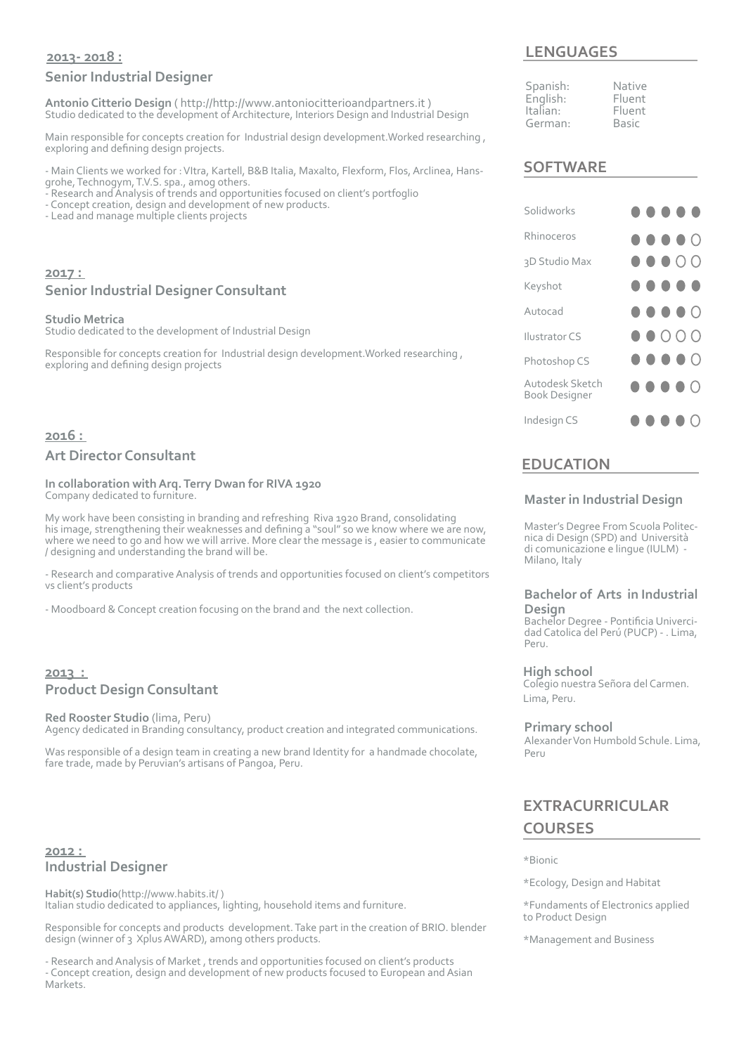#### **2013- 2018 :**

#### **Senior Industrial Designer**

**Antonio Citterio Design** ( http://http://www.antoniocitterioandpartners.it ) Studio dedicated to the development of Architecture, Interiors Design and Industrial Design

Main responsible for concepts creation for Industrial design development.Worked researching , exploring and defining design projects.

- Main Clients we worked for : VItra, Kartell, B&B Italia, Maxalto, Flexform, Flos, Arclinea, Hans- grohe, Technogym, T.V.S. spa., amog others.

- Research and Analysis of trends and opportunities focused on client's portfoglio

- Concept creation, design and development of new products.
- Lead and manage multiple clients projects

# **Senior Industrial Designer Consultant 2017 :**

#### **Studio Metrica**

Studio dedicated to the development of Industrial Design

Responsible for concepts creation for Industrial design development.Worked researching , exploring and defining design projects

# **Art Director Consultant 2016 :**

**In collaboration with Arq. Terry Dwan for RIVA 1920** Company dedicated to furniture.

My work have been consisting in branding and refreshing Riva 1920 Brand, consolidating his image, strengthening their weaknesses and defining a "soul" so we know where we are now, where we need to go and how we will arrive. More clear the message is, easier to communicate / designing and understanding the brand will be.

- Research and comparative Analysis of trends and opportunities focused on client's competitors vs client's products

- Moodboard & Concept creation focusing on the brand and the next collection.

#### **Product Design Consultant 2013 :**

**Red Rooster Studio** (lima, Peru) Agency dedicated in Branding consultancy, product creation and integrated communications.

Was responsible of a design team in creating a new brand Identity for a handmade chocolate. fare trade, made by Peruvian's artisans of Pangoa, Peru.

#### **Industrial Designer 2012 :**

**Habit(s) Studio**(http://www.habits.it/ ) Italian studio dedicated to appliances, lighting, household items and furniture.

Responsible for concepts and products development. Take part in the creation of BRIO. blender design (winner of 3 Xplus AWARD), among others products.

- Research and Analysis of Market , trends and opportunities focused on client's products - Concept creation, design and development of new products focused to European and Asian Markets.

### **LENGUAGES**

| Spanish: | Native |
|----------|--------|
| English: | Fluent |
| Italian: | Fluent |
| German:  | Basic  |

### **SOFTWARE**

| Solidworks                              |  | $\bullet\bullet\bullet\bullet$                                                                                     |  |
|-----------------------------------------|--|--------------------------------------------------------------------------------------------------------------------|--|
| Rhinoceros                              |  | $\bullet\bullet\bullet\bullet\circ$                                                                                |  |
| 3D Studio Max                           |  | $\bullet\bullet\bullet\circ\circ$                                                                                  |  |
| Keyshot                                 |  | $\begin{array}{ccccccccccccccccc} \bullet & \bullet & \bullet & \bullet & \bullet & \bullet & \bullet \end{array}$ |  |
| Autocad                                 |  | $\bullet\bullet\bullet\bullet$                                                                                     |  |
| Ilustrator CS                           |  | $\bullet\bullet\circ\circ\circ$                                                                                    |  |
| Photoshop CS                            |  | $\bullet\bullet\bullet\bullet$                                                                                     |  |
| Autodesk Sketch<br><b>Book Designer</b> |  | $\bullet\bullet\bullet\bullet\circ$                                                                                |  |
| Indesign CS                             |  |                                                                                                                    |  |

# **EDUCATION**

#### **Master in Industrial Design**

Master's Degree From Scuola Politecnica di Design (SPD) and Università di comunicazione e lingue (IULM) - Milano, Italy

#### **Bachelor of Arts in Industrial Design**

Bachelor Degree - Pontificia Univercidad Catolica del Perú (PUCP) - . Lima, Peru.

#### **High school**

Colegio nuestra Señora del Carmen. Lima, Peru.

**Primary school**

Alexander Von Humbold Schule. Lima, Peru

# **EXTRACURRICULAR COURSES**

\*Bionic

\*Ecology, Design and Habitat

\*Fundaments of Electronics applied to Product Design

\*Management and Business